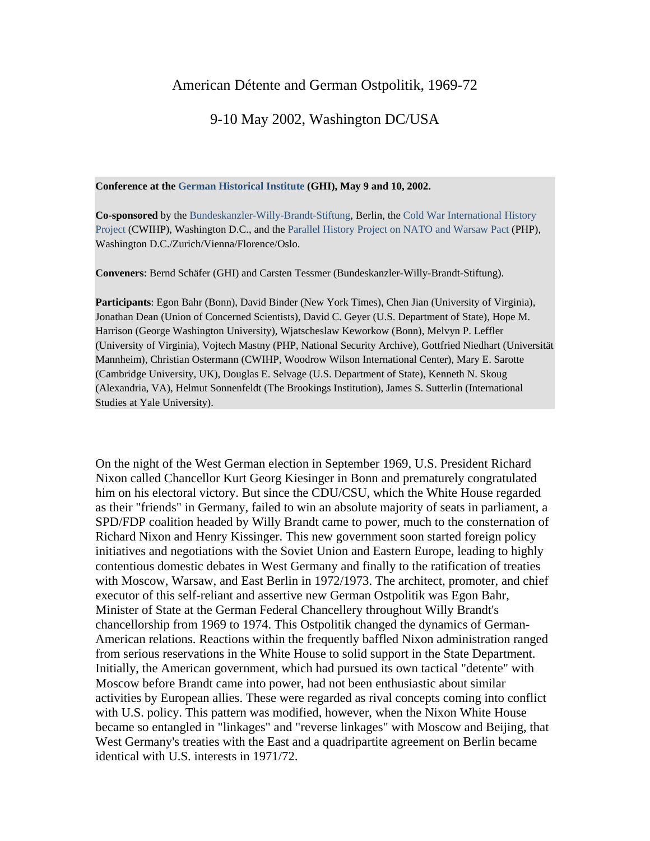## American Détente and German Ostpolitik, 1969-72

## 9-10 May 2002, Washington DC/USA

## **Conference at the [German Historical Institute](http://www.ghi-dc.org/) (GHI), May 9 and 10, 2002.**

**Co-sponsored** by the [Bundeskanzler-Willy-Brandt-Stiftung](http://www.willy-brandt.org/), Berlin, the [Cold War International History](http://wwics.si.edu/index.cfm?topic_id=1409&fuseaction=topics.home/default.htm)  [Project](http://wwics.si.edu/index.cfm?topic_id=1409&fuseaction=topics.home/default.htm) (CWIHP), Washington D.C., and the [Parallel History Project on NATO and Warsaw Pact](http://www.isn.ethz.ch/php/) (PHP), Washington D.C./Zurich/Vienna/Florence/Oslo.

**Conveners**: Bernd Schäfer (GHI) and Carsten Tessmer (Bundeskanzler-Willy-Brandt-Stiftung).

**Participants**: Egon Bahr (Bonn), David Binder (New York Times), Chen Jian (University of Virginia), Jonathan Dean (Union of Concerned Scientists), David C. Geyer (U.S. Department of State), Hope M. Harrison (George Washington University), Wjatscheslaw Keworkow (Bonn), Melvyn P. Leffler (University of Virginia), Vojtech Mastny (PHP, National Security Archive), Gottfried Niedhart (Universität Mannheim), Christian Ostermann (CWIHP, Woodrow Wilson International Center), Mary E. Sarotte (Cambridge University, UK), Douglas E. Selvage (U.S. Department of State), Kenneth N. Skoug (Alexandria, VA), Helmut Sonnenfeldt (The Brookings Institution), James S. Sutterlin (International Studies at Yale University).

On the night of the West German election in September 1969, U.S. President Richard Nixon called Chancellor Kurt Georg Kiesinger in Bonn and prematurely congratulated him on his electoral victory. But since the CDU/CSU, which the White House regarded as their "friends" in Germany, failed to win an absolute majority of seats in parliament, a SPD/FDP coalition headed by Willy Brandt came to power, much to the consternation of Richard Nixon and Henry Kissinger. This new government soon started foreign policy initiatives and negotiations with the Soviet Union and Eastern Europe, leading to highly contentious domestic debates in West Germany and finally to the ratification of treaties with Moscow, Warsaw, and East Berlin in 1972/1973. The architect, promoter, and chief executor of this self-reliant and assertive new German Ostpolitik was Egon Bahr, Minister of State at the German Federal Chancellery throughout Willy Brandt's chancellorship from 1969 to 1974. This Ostpolitik changed the dynamics of German-American relations. Reactions within the frequently baffled Nixon administration ranged from serious reservations in the White House to solid support in the State Department. Initially, the American government, which had pursued its own tactical "detente" with Moscow before Brandt came into power, had not been enthusiastic about similar activities by European allies. These were regarded as rival concepts coming into conflict with U.S. policy. This pattern was modified, however, when the Nixon White House became so entangled in "linkages" and "reverse linkages" with Moscow and Beijing, that West Germany's treaties with the East and a quadripartite agreement on Berlin became identical with U.S. interests in 1971/72.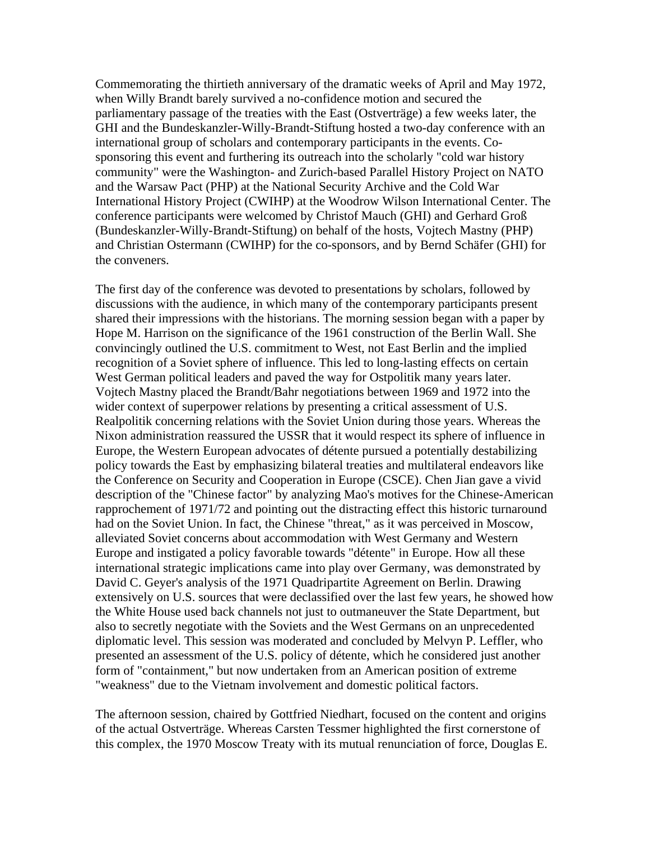Commemorating the thirtieth anniversary of the dramatic weeks of April and May 1972, when Willy Brandt barely survived a no-confidence motion and secured the parliamentary passage of the treaties with the East (Ostverträge) a few weeks later, the GHI and the Bundeskanzler-Willy-Brandt-Stiftung hosted a two-day conference with an international group of scholars and contemporary participants in the events. Cosponsoring this event and furthering its outreach into the scholarly "cold war history community" were the Washington- and Zurich-based Parallel History Project on NATO and the Warsaw Pact (PHP) at the National Security Archive and the Cold War International History Project (CWIHP) at the Woodrow Wilson International Center. The conference participants were welcomed by Christof Mauch (GHI) and Gerhard Groß (Bundeskanzler-Willy-Brandt-Stiftung) on behalf of the hosts, Vojtech Mastny (PHP) and Christian Ostermann (CWIHP) for the co-sponsors, and by Bernd Schäfer (GHI) for the conveners.

The first day of the conference was devoted to presentations by scholars, followed by discussions with the audience, in which many of the contemporary participants present shared their impressions with the historians. The morning session began with a paper by Hope M. Harrison on the significance of the 1961 construction of the Berlin Wall. She convincingly outlined the U.S. commitment to West, not East Berlin and the implied recognition of a Soviet sphere of influence. This led to long-lasting effects on certain West German political leaders and paved the way for Ostpolitik many years later. Vojtech Mastny placed the Brandt/Bahr negotiations between 1969 and 1972 into the wider context of superpower relations by presenting a critical assessment of U.S. Realpolitik concerning relations with the Soviet Union during those years. Whereas the Nixon administration reassured the USSR that it would respect its sphere of influence in Europe, the Western European advocates of détente pursued a potentially destabilizing policy towards the East by emphasizing bilateral treaties and multilateral endeavors like the Conference on Security and Cooperation in Europe (CSCE). Chen Jian gave a vivid description of the "Chinese factor" by analyzing Mao's motives for the Chinese-American rapprochement of 1971/72 and pointing out the distracting effect this historic turnaround had on the Soviet Union. In fact, the Chinese "threat," as it was perceived in Moscow, alleviated Soviet concerns about accommodation with West Germany and Western Europe and instigated a policy favorable towards "détente" in Europe. How all these international strategic implications came into play over Germany, was demonstrated by David C. Geyer's analysis of the 1971 Quadripartite Agreement on Berlin. Drawing extensively on U.S. sources that were declassified over the last few years, he showed how the White House used back channels not just to outmaneuver the State Department, but also to secretly negotiate with the Soviets and the West Germans on an unprecedented diplomatic level. This session was moderated and concluded by Melvyn P. Leffler, who presented an assessment of the U.S. policy of détente, which he considered just another form of "containment," but now undertaken from an American position of extreme "weakness" due to the Vietnam involvement and domestic political factors.

The afternoon session, chaired by Gottfried Niedhart, focused on the content and origins of the actual Ostverträge. Whereas Carsten Tessmer highlighted the first cornerstone of this complex, the 1970 Moscow Treaty with its mutual renunciation of force, Douglas E.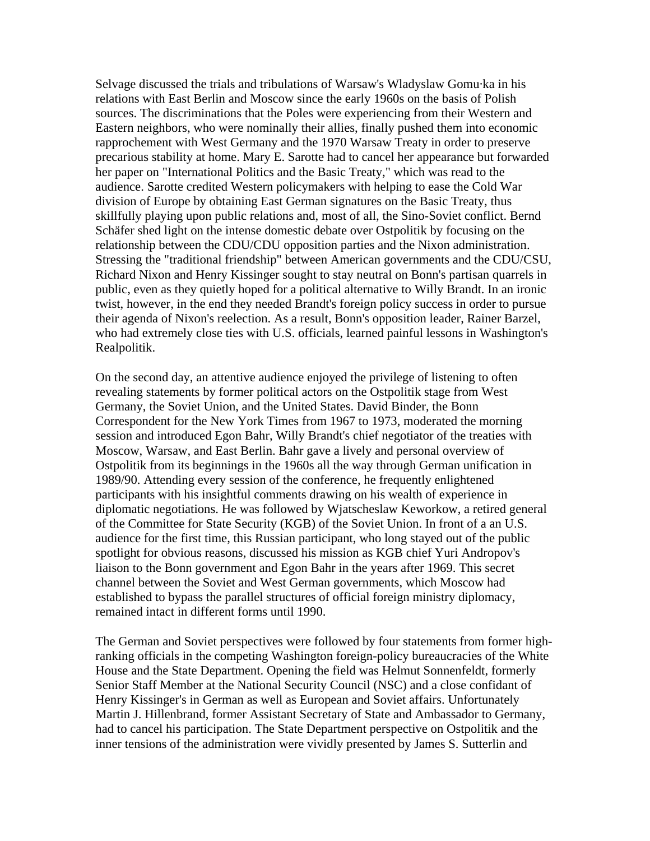Selvage discussed the trials and tribulations of Warsaw's Wladyslaw Gomu·ka in his relations with East Berlin and Moscow since the early 1960s on the basis of Polish sources. The discriminations that the Poles were experiencing from their Western and Eastern neighbors, who were nominally their allies, finally pushed them into economic rapprochement with West Germany and the 1970 Warsaw Treaty in order to preserve precarious stability at home. Mary E. Sarotte had to cancel her appearance but forwarded her paper on "International Politics and the Basic Treaty," which was read to the audience. Sarotte credited Western policymakers with helping to ease the Cold War division of Europe by obtaining East German signatures on the Basic Treaty, thus skillfully playing upon public relations and, most of all, the Sino-Soviet conflict. Bernd Schäfer shed light on the intense domestic debate over Ostpolitik by focusing on the relationship between the CDU/CDU opposition parties and the Nixon administration. Stressing the "traditional friendship" between American governments and the CDU/CSU, Richard Nixon and Henry Kissinger sought to stay neutral on Bonn's partisan quarrels in public, even as they quietly hoped for a political alternative to Willy Brandt. In an ironic twist, however, in the end they needed Brandt's foreign policy success in order to pursue their agenda of Nixon's reelection. As a result, Bonn's opposition leader, Rainer Barzel, who had extremely close ties with U.S. officials, learned painful lessons in Washington's Realpolitik.

On the second day, an attentive audience enjoyed the privilege of listening to often revealing statements by former political actors on the Ostpolitik stage from West Germany, the Soviet Union, and the United States. David Binder, the Bonn Correspondent for the New York Times from 1967 to 1973, moderated the morning session and introduced Egon Bahr, Willy Brandt's chief negotiator of the treaties with Moscow, Warsaw, and East Berlin. Bahr gave a lively and personal overview of Ostpolitik from its beginnings in the 1960s all the way through German unification in 1989/90. Attending every session of the conference, he frequently enlightened participants with his insightful comments drawing on his wealth of experience in diplomatic negotiations. He was followed by Wjatscheslaw Keworkow, a retired general of the Committee for State Security (KGB) of the Soviet Union. In front of a an U.S. audience for the first time, this Russian participant, who long stayed out of the public spotlight for obvious reasons, discussed his mission as KGB chief Yuri Andropov's liaison to the Bonn government and Egon Bahr in the years after 1969. This secret channel between the Soviet and West German governments, which Moscow had established to bypass the parallel structures of official foreign ministry diplomacy, remained intact in different forms until 1990.

The German and Soviet perspectives were followed by four statements from former highranking officials in the competing Washington foreign-policy bureaucracies of the White House and the State Department. Opening the field was Helmut Sonnenfeldt, formerly Senior Staff Member at the National Security Council (NSC) and a close confidant of Henry Kissinger's in German as well as European and Soviet affairs. Unfortunately Martin J. Hillenbrand, former Assistant Secretary of State and Ambassador to Germany, had to cancel his participation. The State Department perspective on Ostpolitik and the inner tensions of the administration were vividly presented by James S. Sutterlin and